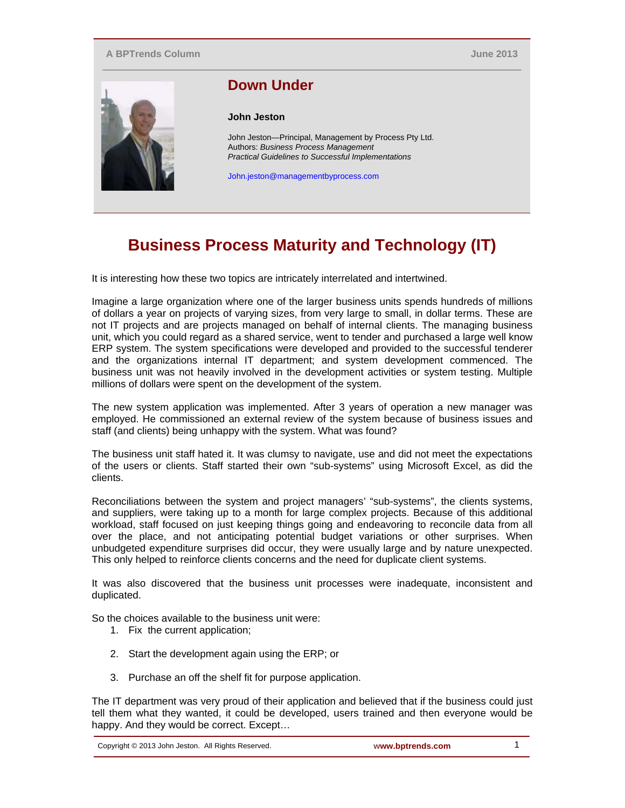## **A BPTrends Column**

**June 2013**



## **Down Under**

**John Jeston** 

John Jeston—Principal, Management by Process Pty Ltd. Authors: *Business Process Management Practical Guidelines to Successful Implementations*

John.jeston@managementbyprocess.com

## **Business Process Maturity and Technology (IT)**

It is interesting how these two topics are intricately interrelated and intertwined.

Imagine a large organization where one of the larger business units spends hundreds of millions of dollars a year on projects of varying sizes, from very large to small, in dollar terms. These are not IT projects and are projects managed on behalf of internal clients. The managing business unit, which you could regard as a shared service, went to tender and purchased a large well know ERP system. The system specifications were developed and provided to the successful tenderer and the organizations internal IT department; and system development commenced. The business unit was not heavily involved in the development activities or system testing. Multiple millions of dollars were spent on the development of the system.

The new system application was implemented. After 3 years of operation a new manager was employed. He commissioned an external review of the system because of business issues and staff (and clients) being unhappy with the system. What was found?

The business unit staff hated it. It was clumsy to navigate, use and did not meet the expectations of the users or clients. Staff started their own "sub-systems" using Microsoft Excel, as did the clients.

Reconciliations between the system and project managers' "sub-systems", the clients systems, and suppliers, were taking up to a month for large complex projects. Because of this additional workload, staff focused on just keeping things going and endeavoring to reconcile data from all over the place, and not anticipating potential budget variations or other surprises. When unbudgeted expenditure surprises did occur, they were usually large and by nature unexpected. This only helped to reinforce clients concerns and the need for duplicate client systems.

It was also discovered that the business unit processes were inadequate, inconsistent and duplicated.

So the choices available to the business unit were:

- 1. Fix the current application;
- 2. Start the development again using the ERP; or
- 3. Purchase an off the shelf fit for purpose application.

The IT department was very proud of their application and believed that if the business could just tell them what they wanted, it could be developed, users trained and then everyone would be happy. And they would be correct. Except…